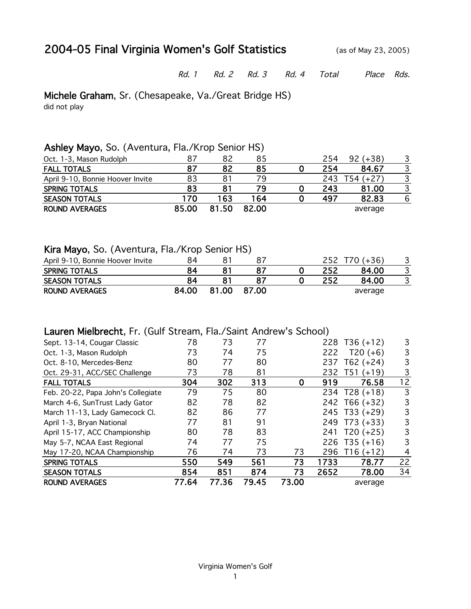## 2004-05 Final Virginia Women's Golf Statistics (as of May 23, 2005)

Rd. 1 Rd. 2 Rd. 3 Rd. 4 Total Place Rds.

Michele Graham, Sr. (Chesapeake, Va./Great Bridge HS)

did not play

#### Ashley Mayo, So. (Aventura, Fla./Krop Senior HS)

| Oct. 1-3, Mason Rudolph          | 87    | 82  | 85    | 254 | $(+38)$<br>92 |   |
|----------------------------------|-------|-----|-------|-----|---------------|---|
| <b>FALL TOTALS</b>               | 87    | 82  | 85    | 254 | 84.67         | 3 |
| April 9-10, Bonnie Hoover Invite | 83    |     | 79    | 243 | Г54 (+27)     |   |
| <b>SPRING TOTALS</b>             | 83    |     | 79    | 243 | 81.00         |   |
| <b>SEASON TOTALS</b>             | 170   | 163 | 164   | 497 | 82.83         | 6 |
| <b>ROUND AVERAGES</b>            | 85.00 |     | 82.00 |     | average       |   |

#### Kira Mayo, So. (Aventura, Fla./Krop Senior HS)

| April 9-10, Bonnie Hoover Invite | 84    |       | 87    | 252 | T70 (+36) |  |
|----------------------------------|-------|-------|-------|-----|-----------|--|
| <b>SPRING TOTALS</b>             | 84    |       |       | 252 | 84.00     |  |
| <b>SEASON TOTALS</b>             | 84    |       |       | 252 | 84.00     |  |
| <b>ROUND AVERAGES</b>            | 84.00 | 81.00 | 87.00 |     | average   |  |

#### Lauren Mielbrecht, Fr. (Gulf Stream, Fla./Saint Andrew's School)

| Sept. 13-14, Cougar Classic        | 78    | 73    | 77    |       |      | 228 $T36 (+12)$ | 3              |
|------------------------------------|-------|-------|-------|-------|------|-----------------|----------------|
| Oct. 1-3, Mason Rudolph            | 73    | 74    | 75    |       | 222  | $T20 (+6)$      | 3              |
| Oct. 8-10, Mercedes-Benz           | 80    | 77    | 80    |       | 237  | $T62 (+24)$     | 3              |
| Oct. 29-31, ACC/SEC Challenge      | 73    | 78    | 81    |       | 232  | T51<br>$(+19)$  | 3              |
| <b>FALL TOTALS</b>                 | 304   | 302   | 313   | 0     | 919  | 76.58           | 12             |
| Feb. 20-22, Papa John's Collegiate | 79    | 75    | 80    |       |      | 234 $T28 (+18)$ | 3              |
| March 4-6, SunTrust Lady Gator     | 82    | 78    | 82    |       |      | 242 T66 (+32)   | 3              |
| March 11-13, Lady Gamecock Cl.     | 82    | 86    | 77    |       |      | 245 T33 (+29)   | 3              |
| April 1-3, Bryan National          | 77    | 81    | 91    |       | 249  | $T73 (+33)$     | 3              |
| April 15-17, ACC Championship      | 80    | 78    | 83    |       | 241  | $T20 (+25)$     | 3              |
| May 5-7, NCAA East Regional        | 74    | 77    | 75    |       | 226  | $T35 (+16)$     | 3              |
| May 17-20, NCAA Championship       | 76    | 74    | 73    | 73    | 296  | $T16 (+12)$     | $\overline{4}$ |
| <b>SPRING TOTALS</b>               | 550   | 549   | 561   | 73    | 1733 | 78.77           | 22             |
| <b>SEASON TOTALS</b>               | 854   | 851   | 874   | 73    | 2652 | 78.00           | 34             |
| <b>ROUND AVERAGES</b>              | 77.64 | 77.36 | 79.45 | 73.00 |      | average         |                |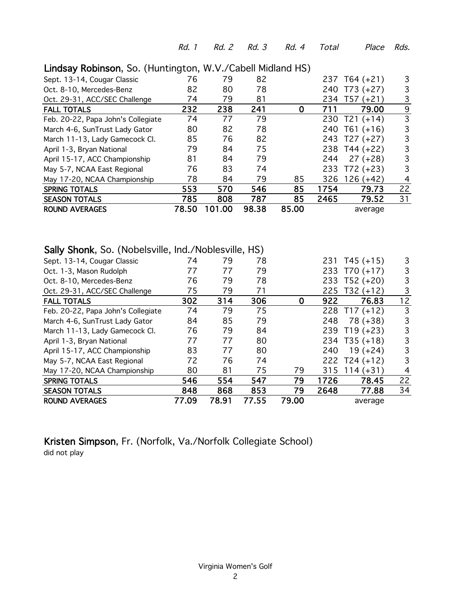Rd. 1 Rd. 2 Rd. 3 Rd. 4 Total Place Rds.

| Sept. 13-14, Cougar Classic        | 76    | 79     | 82    |       |      | 237 T64 (+21)  | 3  |
|------------------------------------|-------|--------|-------|-------|------|----------------|----|
| Oct. 8-10, Mercedes-Benz           | 82    | 80     | 78    |       | 240  | $T73 (+27)$    | 3  |
| Oct. 29-31, ACC/SEC Challenge      | 74    | 79     | 81    |       | 234  | T57<br>$(+21)$ | 3  |
| <b>FALL TOTALS</b>                 | 232   | 238    | 241   | 0     | 711  | 79.00          | 9  |
| Feb. 20-22, Papa John's Collegiate | 74    | 77     | 79    |       | 230  | $T21 (+14)$    | 3  |
| March 4-6, SunTrust Lady Gator     | 80    | 82     | 78    |       | 240  | $T61 (+16)$    | 3  |
| March 11-13, Lady Gamecock Cl.     | 85    | 76     | 82    |       | 243  | T27 (+27)      | 3  |
| April 1-3, Bryan National          | 79    | 84     | 75    |       |      | 238 T44 (+22)  | 3  |
| April 15-17, ACC Championship      | 81    | 84     | 79    |       | 244  | $27 (+28)$     | 3  |
| May 5-7, NCAA East Regional        | 76    | 83     | 74    |       | 233  | $T72 (+23)$    | 3  |
| May 17-20, NCAA Championship       | 78    | 84     | 79    | 85    | 326  | $126 (+42)$    | 4  |
| <b>SPRING TOTALS</b>               | 553   | 570    | 546   | 85    | 1754 | 79.73          | 22 |
| <b>SEASON TOTALS</b>               | 785   | 808    | 787   | 85    | 2465 | 79.52          | 31 |
| <b>ROUND AVERAGES</b>              | 78.50 | 101.00 | 98.38 | 85.00 |      | average        |    |
|                                    |       |        |       |       |      |                |    |

#### Lindsay Robinson, So. (Huntington, W.V./Cabell Midland HS)

#### Sally Shonk, So. (Nobelsville, Ind./Noblesville, HS)

| Sept. 13-14, Cougar Classic        | 74    | 79    | 78    |       |      | 231 T45 (+15) | 3  |
|------------------------------------|-------|-------|-------|-------|------|---------------|----|
| Oct. 1-3, Mason Rudolph            | 77    | 77    | 79    |       |      | 233 T70 (+17) | 3  |
| Oct. 8-10, Mercedes-Benz           | 76    | 79    | 78    |       |      | 233 T52 (+20) | 3  |
| Oct. 29-31, ACC/SEC Challenge      | 75    | 79    | 71    |       | 225  | $T32 (+12)$   | 3  |
| <b>FALL TOTALS</b>                 | 302   | 314   | 306   | 0     | 922  | 76.83         | 12 |
| Feb. 20-22, Papa John's Collegiate | 74    | 79    | 75    |       | 228  | $T17 (+12)$   | 3  |
| March 4-6, SunTrust Lady Gator     | 84    | 85    | 79    |       | 248  | $78 (+38)$    | 3  |
| March 11-13, Lady Gamecock Cl.     | 76    | 79    | 84    |       |      | 239 T19 (+23) | 3  |
| April 1-3, Bryan National          | 77    | 77    | 80    |       |      | 234 T35 (+18) | 3  |
| April 15-17, ACC Championship      | 83    | 77    | 80    |       | 240  | $19 (+24)$    | 3  |
| May 5-7, NCAA East Regional        | 72    | 76    | 74    |       | 222  | $T24 (+12)$   | 3  |
| May 17-20, NCAA Championship       | 80    | 81    | 75    | 79    | 315  | $114 (+31)$   | 4  |
| <b>SPRING TOTALS</b>               | 546   | 554   | 547   | 79    | 1726 | 78.45         | 22 |
| <b>SEASON TOTALS</b>               | 848   | 868   | 853   | 79    | 2648 | 77.88         | 34 |
| <b>ROUND AVERAGES</b>              | 77.09 | 78.91 | 77.55 | 79.00 |      | average       |    |
|                                    |       |       |       |       |      |               |    |

#### Kristen Simpson, Fr. (Norfolk, Va./Norfolk Collegiate School) did not play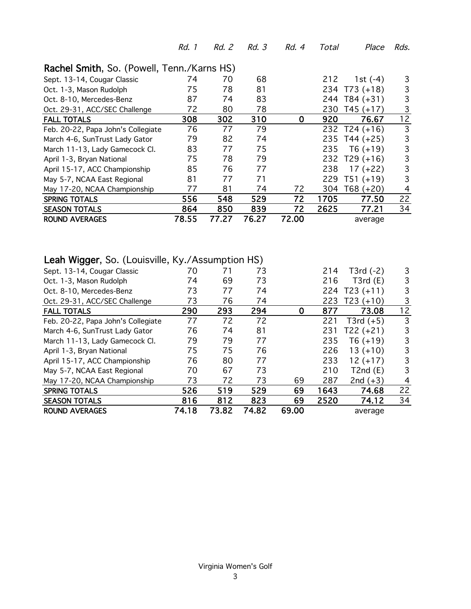| Rachel Smith, So. (Powell, Tenn./Karns HS) |       |       |       |             |      |               |    |  |  |  |  |  |
|--------------------------------------------|-------|-------|-------|-------------|------|---------------|----|--|--|--|--|--|
|                                            |       |       |       |             |      |               |    |  |  |  |  |  |
| Sept. 13-14, Cougar Classic                | 74    | 70    | 68    |             | 212  | 1st $(-4)$    | 3  |  |  |  |  |  |
| Oct. 1-3, Mason Rudolph                    | 75    | 78    | 81    |             |      | 234 T73 (+18) | 3  |  |  |  |  |  |
| Oct. 8-10, Mercedes-Benz                   | 87    | 74    | 83    |             |      | 244 T84 (+31) | 3  |  |  |  |  |  |
| Oct. 29-31, ACC/SEC Challenge              | 72    | 80    | 78    |             | 230  | $T45 (+17)$   | 3  |  |  |  |  |  |
| <b>FALL TOTALS</b>                         | 308   | 302   | 310   | $\mathbf 0$ | 920  | 76.67         | 12 |  |  |  |  |  |
| Feb. 20-22, Papa John's Collegiate         | 76    | 77    | 79    |             |      | 232 T24 (+16) | 3  |  |  |  |  |  |
| March 4-6, SunTrust Lady Gator             | 79    | 82    | 74    |             |      | 235 T44 (+25) | 3  |  |  |  |  |  |
| March 11-13, Lady Gamecock Cl.             | 83    | 77    | 75    |             | 235  | $T6 (+19)$    | 3  |  |  |  |  |  |
| April 1-3, Bryan National                  | 75    | 78    | 79    |             |      | 232 T29 (+16) | 3  |  |  |  |  |  |
| April 15-17, ACC Championship              | 85    | 76    | 77    |             | 238  | $17 (+22)$    | 3  |  |  |  |  |  |
| May 5-7, NCAA East Regional                | 81    | 77    | 71    |             | 229  | $T51 (+19)$   | 3  |  |  |  |  |  |
| May 17-20, NCAA Championship               | 77    | 81    | 74    | 72          | 304  | $T68 (+20)$   | 4  |  |  |  |  |  |
| <b>SPRING TOTALS</b>                       | 556   | 548   | 529   | 72          | 1705 | 77.50         | 22 |  |  |  |  |  |
| <b>SEASON TOTALS</b>                       | 864   | 850   | 839   | 72          | 2625 | 77.21         | 34 |  |  |  |  |  |
| <b>ROUND AVERAGES</b>                      | 78.55 | 77.27 | 76.27 | 72.00       |      | average       |    |  |  |  |  |  |

Rd. 1 Rd. 2 Rd. 3 Rd. 4 Total Place Rds.

### Leah Wigger, So. (Louisville, Ky./Assumption HS)

| <b>ROUND AVERAGES</b>              | 74.18 | 73.82 | 74.82 | 69.00 |      | average     |    |
|------------------------------------|-------|-------|-------|-------|------|-------------|----|
| <b>SEASON TOTALS</b>               | 816   | 812   | 823   | 69    | 2520 | 74.12       | 34 |
| <b>SPRING TOTALS</b>               | 526   | 519   | 529   | 69    | 1643 | 74.68       | 22 |
| May 17-20, NCAA Championship       | 73    | 72    | 73    | 69    | 287  | 2nd $(+3)$  | 4  |
| May 5-7, NCAA East Regional        | 70    | 67    | 73    |       | 210  | T2nd(E)     | 3  |
| April 15-17, ACC Championship      | 76    | 80    | 77    |       | 233  | $12 (+17)$  | 3  |
| April 1-3, Bryan National          | 75    | 75    | 76    |       | 226  | $13 (+10)$  | 3  |
| March 11-13, Lady Gamecock Cl.     | 79    | 79    | 77    |       | 235  | $T6 (+19)$  | 3  |
| March 4-6, SunTrust Lady Gator     | 76    | 74    | 81    |       | 231  | $T22 (+21)$ | 3  |
| Feb. 20-22, Papa John's Collegiate | 77    | 72    | 72    |       | 221  | T3rd $(+5)$ | 3  |
| <b>FALL TOTALS</b>                 | 290   | 293   | 294   | 0     | 877  | 73.08       | 12 |
| Oct. 29-31, ACC/SEC Challenge      | 73    | 76    | 74    |       | 223  | $T23 (+10)$ | 3  |
| Oct. 8-10, Mercedes-Benz           | 73    | 77    | 74    |       | 224  | $T23 (+11)$ | 3  |
| Oct. 1-3, Mason Rudolph            | 74    | 69    | 73    |       | 216  | T3rd(E)     | 3  |
| Sept. 13-14, Cougar Classic        | 70    | 71    | 73    |       | 214  | T3rd $(-2)$ | 3  |
|                                    |       |       |       |       |      |             |    |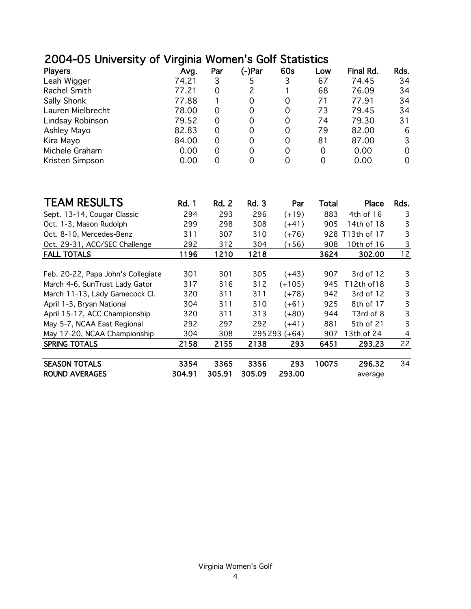# 2004-05 University of Virginia Women's Golf Statistics

| <b>Players</b>    | Avg.  | Par      | (-)Par | 60s      | Low | <b>Final Rd.</b> | Rds. |
|-------------------|-------|----------|--------|----------|-----|------------------|------|
| Leah Wigger       | 74.21 | 3        |        | 3        | 67  | 74.45            | 34   |
| Rachel Smith      | 77.21 | 0        | 2      |          | 68  | 76.09            | 34   |
| Sally Shonk       | 77.88 |          | 0      | 0        | 71  | 77.91            | 34   |
| Lauren Mielbrecht | 78.00 | 0        | 0      | 0        | 73  | 79.45            | 34   |
| Lindsay Robinson  | 79.52 | 0        | 0      | 0        | 74  | 79.30            | 31   |
| Ashley Mayo       | 82.83 | 0        | 0      | 0        | 79  | 82.00            | 6    |
| Kira Mayo         | 84.00 | $\Omega$ | 0      | $\Omega$ | 81  | 87.00            | 3    |
| Michele Graham    | 0.00  | 0        | 0      | 0        | 0   | 0.00             | 0    |
| Kristen Simpson   | 0.00  | 0        | O      | 0        |     | 0.00             | 0    |

| <b>TEAM RESULTS</b>                | <b>Rd. 1</b> | Rd. 2  | <b>Rd. 3</b> | Par      | Total | Place       | Rds. |
|------------------------------------|--------------|--------|--------------|----------|-------|-------------|------|
| Sept. 13-14, Cougar Classic        | 294          | 293    | 296          | $(+19)$  | 883   | 4th of 16   | 3    |
| Oct. 1-3, Mason Rudolph            | 299          | 298    | 308          | $(+41)$  | 905   | 14th of 18  | 3    |
| Oct. 8-10, Mercedes-Benz           | 311          | 307    | 310          | $(+76)$  | 928   | T13th of 17 | 3    |
| Oct. 29-31, ACC/SEC Challenge      | 292          | 312    | 304          | (+56)    | 908   | 10th of 16  | 3    |
| <b>FALL TOTALS</b>                 | 1196         | 1210   | 1218         |          | 3624  | 302.00      | 12   |
|                                    |              |        |              |          |       |             |      |
| Feb. 20-22, Papa John's Collegiate | 301          | 301    | 305          | $(+43)$  | 907   | 3rd of 12   | 3    |
| March 4-6, SunTrust Lady Gator     | 317          | 316    | 312          | $(+105)$ | 945   | T12th of18  | 3    |
| March 11-13, Lady Gamecock Cl.     | 320          | 311    | 311          | $(+78)$  | 942   | 3rd of 12   | 3    |
| April 1-3, Bryan National          | 304          | 311    | 310          | (+61)    | 925   | 8th of 17   | 3    |
| April 15-17, ACC Championship      | 320          | 311    | 313          | (+80)    | 944   | T3rd of 8   | 3    |
| May 5-7, NCAA East Regional        | 292          | 297    | 292          | (+41)    | 881   | 5th of 21   | 3    |
| May 17-20, NCAA Championship       | 304          | 308    | 295 293      | (+64)    | 907   | 13th of 24  | 4    |
| <b>SPRING TOTALS</b>               | 2158         | 2155   | 2138         | 293      | 6451  | 293.23      | 22   |
|                                    |              |        |              |          |       |             |      |
| <b>SEASON TOTALS</b>               | 3354         | 3365   | 3356         | 293      | 10075 | 296.32      | 34   |
| <b>ROUND AVERAGES</b>              | 304.91       | 305.91 | 305.09       | 293.00   |       | average     |      |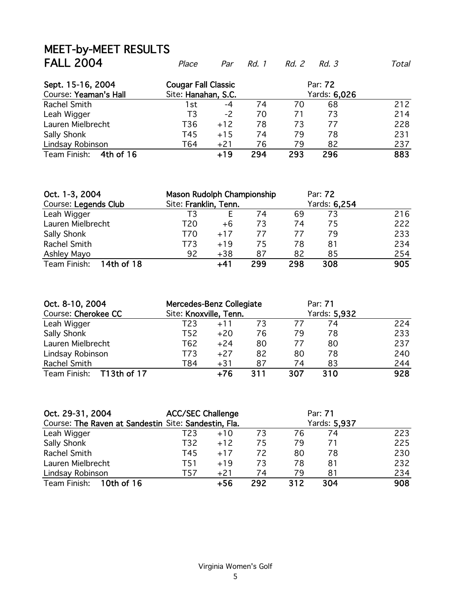# MEET-by-MEET RESULTS<br>FALL 2004

| Sept. 15-16, 2004<br>Course: Yeaman's Hall |     | <b>Cougar Fall Classic</b><br>Par: 72<br>Site: Hanahan, S.C.<br>Yards: 6,026 |     |     |     |     |
|--------------------------------------------|-----|------------------------------------------------------------------------------|-----|-----|-----|-----|
| Rachel Smith                               | 1st | -4                                                                           | 74  | 70  | 68  | 212 |
| Leah Wigger                                | T3  | -2                                                                           | 70  | 71  | 73  | 214 |
| Lauren Mielbrecht                          | T36 | $+12$                                                                        | 78  | 73  | 77  | 228 |
| Sally Shonk                                | T45 | $+15$                                                                        | 74  | 79  | 78  | 231 |
| Lindsay Robinson                           | T64 | $+21$                                                                        | 76  | 79  | 82  | 237 |
| Team Finish:<br>4th of 16                  |     | $+19$                                                                        | 294 | 293 | 296 | 883 |

Place Par Rd. 1 Rd. 2 Rd. 3 Total

| Oct. 1-3, 2004             | Mason Rudolph Championship |       |     |     | Par: 72      |     |
|----------------------------|----------------------------|-------|-----|-----|--------------|-----|
| Course: Legends Club       | Site: Franklin, Tenn.      |       |     |     | Yards: 6,254 |     |
| Leah Wigger                | Т3                         |       | 74  | 69  | 73           | 216 |
| Lauren Mielbrecht          | T20                        | +6    | 73  | 74  | 75           | 222 |
| Sally Shonk                | T70                        | $+17$ | 77  | 77  | 79           | 233 |
| Rachel Smith               | T73                        | $+19$ | 75  | 78  | 81           | 234 |
| Ashley Mayo                | 92                         | $+38$ | 87  | 82  | 85           | 254 |
| Team Finish:<br>14th of 18 |                            | $+41$ | 299 | 298 | 308          | 905 |

| Oct. 8-10, 2004          | Mercedes-Benz Collegiate |       |     | Par: 71 |              |     |
|--------------------------|--------------------------|-------|-----|---------|--------------|-----|
| Course: Cherokee CC      | Site: Knoxville, Tenn.   |       |     |         | Yards: 5,932 |     |
| Leah Wigger              | T23                      | $+11$ | 73  | 77      | 74           | 224 |
| Sally Shonk              | T52                      | $+20$ | 76  | 79      | 78           | 233 |
| Lauren Mielbrecht        | T62                      | $+24$ | 80  | 77      | 80           | 237 |
| Lindsay Robinson         | T73                      | $+27$ | 82  | 80      | 78           | 240 |
| Rachel Smith             | T84                      | $+31$ | 87  | 74      | 83           | 244 |
| Team Finish: T13th of 17 |                          | +76   | 311 | 307     | 310          | 928 |

| Oct. 29-31, 2004<br>Course: The Raven at Sandestin Site: Sandestin, Fla. | <b>ACC/SEC Challenge</b> |       | Par: 71<br>Yards: 5,937 |     |     |     |
|--------------------------------------------------------------------------|--------------------------|-------|-------------------------|-----|-----|-----|
| Leah Wigger                                                              | T23                      | $+10$ | 73                      | 76  | 74  | 223 |
| <b>Sally Shonk</b>                                                       | T32                      | $+12$ | 75                      | 79  | 71  | 225 |
| Rachel Smith                                                             | T45                      | $+17$ | 72                      | 80  | 78  | 230 |
| Lauren Mielbrecht                                                        | T51                      | $+19$ | 73                      | 78  | 81  | 232 |
| Lindsay Robinson                                                         | T57                      | $+21$ | 74                      | 79  | 81  | 234 |
| 10th of 16<br>Team Finish:                                               |                          | +56   | 292                     | 312 | 304 | 908 |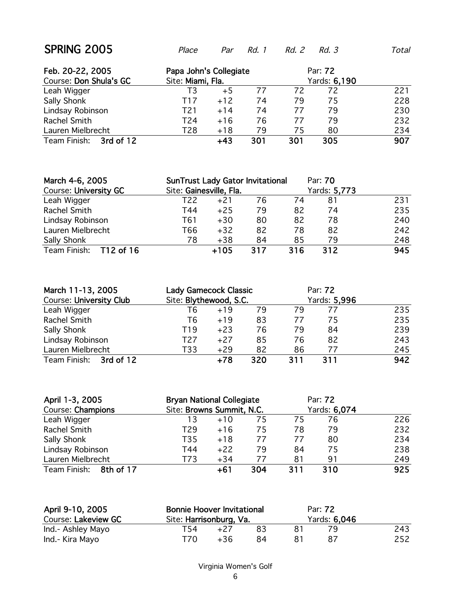| Feb. 20-22, 2005<br>Course: Don Shula's GC | Papa John's Collegiate<br>Site: Miami, Fla. |       |     | Par: 72<br>Yards: 6,190 |     |     |
|--------------------------------------------|---------------------------------------------|-------|-----|-------------------------|-----|-----|
| Leah Wigger                                | T3                                          | $+5$  | 77  | 72                      | 72  | 221 |
| Sally Shonk                                | T17                                         | $+12$ | 74  | 79                      | 75  | 228 |
| Lindsay Robinson                           | T21                                         | $+14$ | 74  | 77                      | 79  | 230 |
| Rachel Smith                               | T24                                         | $+16$ | 76  | 77                      | 79  | 232 |
| Lauren Mielbrecht                          | T28                                         | $+18$ | 79  | 75                      | 80  | 234 |
| Team Finish:<br>3rd of 12                  |                                             | $+43$ | 301 | 301                     | 305 | 907 |

| March 4-6, 2005              | <b>SunTrust Lady Gator Invitational</b> |        |     |     | Par: 70      |     |
|------------------------------|-----------------------------------------|--------|-----|-----|--------------|-----|
| <b>Course: University GC</b> | Site: Gainesville, Fla.                 |        |     |     | Yards: 5,773 |     |
| Leah Wigger                  | T22                                     | $+21$  | 76  | 74  | 81           | 231 |
| Rachel Smith                 | T44                                     | $+25$  | 79  | 82  | 74           | 235 |
| Lindsay Robinson             | T61                                     | $+30$  | 80  | 82  | 78           | 240 |
| Lauren Mielbrecht            | T66                                     | $+32$  | 82  | 78  | 82           | 242 |
| Sally Shonk                  | 78                                      | $+38$  | 84  | 85  | 79           | 248 |
| Team Finish: T12 of 16       |                                         | $+105$ | 317 | 316 | 312          | 945 |

| March 11-13, 2005              | <b>Lady Gamecock Classic</b> |       |     | Par: 72 |              |     |
|--------------------------------|------------------------------|-------|-----|---------|--------------|-----|
| <b>Course: University Club</b> | Site: Blythewood, S.C.       |       |     |         | Yards: 5,996 |     |
| Leah Wigger                    | Т6                           | $+19$ | 79  | 79      | 77           | 235 |
| Rachel Smith                   | Т6                           | $+19$ | 83  | 77      | 75           | 235 |
| Sally Shonk                    | T19                          | $+23$ | 76  | 79      | 84           | 239 |
| Lindsay Robinson               | T27                          | $+27$ | 85  | 76      | 82           | 243 |
| Lauren Mielbrecht              | T33                          | $+29$ | 82  | 86      | 77           | 245 |
| Team Finish: 3rd of 12         |                              | $+78$ | 320 | 311     | 311          | 942 |

| April 1-3, 2005           | <b>Bryan National Collegiate</b> |       |     | Par: 72 |              |     |
|---------------------------|----------------------------------|-------|-----|---------|--------------|-----|
| Course: Champions         | Site: Browns Summit, N.C.        |       |     |         | Yards: 6,074 |     |
| Leah Wigger               | 13                               | $+10$ | 75  | 75      | 76           | 226 |
| Rachel Smith              | T29                              | $+16$ | 75  | 78      | 79           | 232 |
| Sally Shonk               | T35                              | $+18$ | 77  | 77      | 80           | 234 |
| Lindsay Robinson          | T44                              | $+22$ | 79  | 84      | 75           | 238 |
| Lauren Mielbrecht         | T73                              | $+34$ | 77  | 81      | 91           | 249 |
| Team Finish:<br>8th of 17 |                                  | $+61$ | 304 | 311     | 310          | 925 |

| April 9-10, 2005<br>Course: Lakeview GC | <b>Bonnie Hoover Invitational</b><br>Site: Harrisonburg, Va. |       |     | Par: 72 |              |     |
|-----------------------------------------|--------------------------------------------------------------|-------|-----|---------|--------------|-----|
| Ind.- Ashley Mayo                       | T54                                                          | $+27$ | -83 |         | Yards: 6,046 | 243 |
| Ind.- Kira Mayo                         | T70.                                                         | $+36$ | 84  |         |              | 252 |